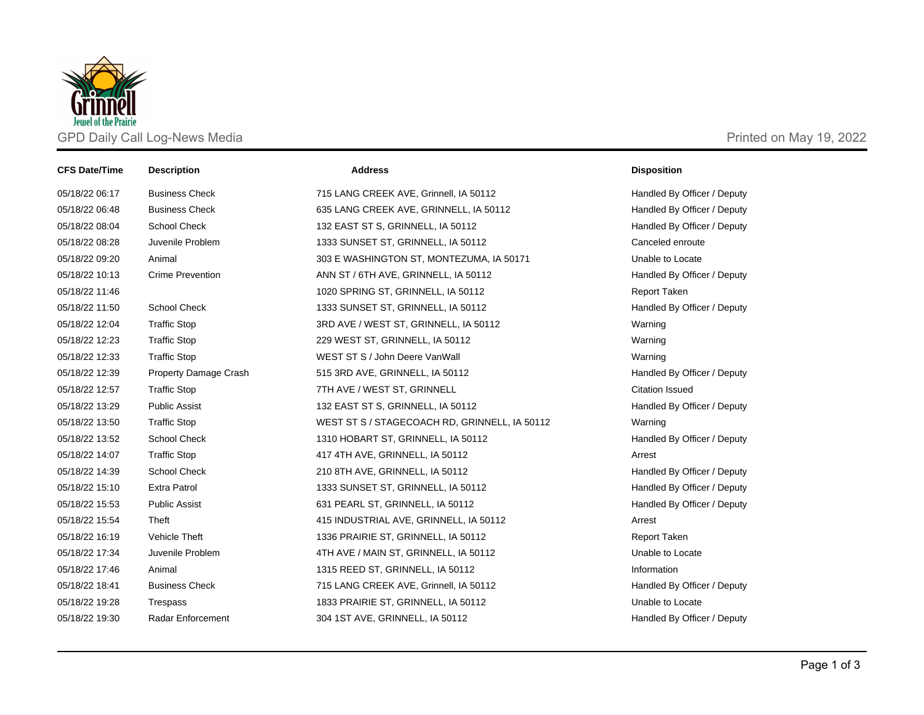

| <b>CFS Date/Time</b> | <b>Description</b>           | <b>Address</b>                                | <b>Disposition</b>          |
|----------------------|------------------------------|-----------------------------------------------|-----------------------------|
| 05/18/22 06:17       | <b>Business Check</b>        | 715 LANG CREEK AVE, Grinnell, IA 50112        | Handled By Officer / Deputy |
| 05/18/22 06:48       | <b>Business Check</b>        | 635 LANG CREEK AVE, GRINNELL, IA 50112        | Handled By Officer / Deputy |
| 05/18/22 08:04       | School Check                 | 132 EAST ST S, GRINNELL, IA 50112             | Handled By Officer / Deputy |
| 05/18/22 08:28       | Juvenile Problem             | 1333 SUNSET ST, GRINNELL, IA 50112            | Canceled enroute            |
| 05/18/22 09:20       | Animal                       | 303 E WASHINGTON ST, MONTEZUMA, IA 50171      | Unable to Locate            |
| 05/18/22 10:13       | <b>Crime Prevention</b>      | ANN ST / 6TH AVE, GRINNELL, IA 50112          | Handled By Officer / Deputy |
| 05/18/22 11:46       |                              | 1020 SPRING ST, GRINNELL, IA 50112            | <b>Report Taken</b>         |
| 05/18/22 11:50       | <b>School Check</b>          | 1333 SUNSET ST, GRINNELL, IA 50112            | Handled By Officer / Deputy |
| 05/18/22 12:04       | <b>Traffic Stop</b>          | 3RD AVE / WEST ST, GRINNELL, IA 50112         | Warning                     |
| 05/18/22 12:23       | <b>Traffic Stop</b>          | 229 WEST ST, GRINNELL, IA 50112               | Warning                     |
| 05/18/22 12:33       | <b>Traffic Stop</b>          | WEST ST S / John Deere VanWall                | Warning                     |
| 05/18/22 12:39       | <b>Property Damage Crash</b> | 515 3RD AVE, GRINNELL, IA 50112               | Handled By Officer / Deputy |
| 05/18/22 12:57       | <b>Traffic Stop</b>          | 7TH AVE / WEST ST, GRINNELL                   | <b>Citation Issued</b>      |
| 05/18/22 13:29       | <b>Public Assist</b>         | 132 EAST ST S, GRINNELL, IA 50112             | Handled By Officer / Deputy |
| 05/18/22 13:50       | <b>Traffic Stop</b>          | WEST ST S / STAGECOACH RD, GRINNELL, IA 50112 | Warning                     |
| 05/18/22 13:52       | School Check                 | 1310 HOBART ST, GRINNELL, IA 50112            | Handled By Officer / Deputy |
| 05/18/22 14:07       | <b>Traffic Stop</b>          | 417 4TH AVE, GRINNELL, IA 50112               | Arrest                      |
| 05/18/22 14:39       | School Check                 | 210 8TH AVE, GRINNELL, IA 50112               | Handled By Officer / Deputy |
| 05/18/22 15:10       | <b>Extra Patrol</b>          | 1333 SUNSET ST, GRINNELL, IA 50112            | Handled By Officer / Deputy |
| 05/18/22 15:53       | <b>Public Assist</b>         | 631 PEARL ST, GRINNELL, IA 50112              | Handled By Officer / Deputy |
| 05/18/22 15:54       | Theft                        | 415 INDUSTRIAL AVE, GRINNELL, IA 50112        | Arrest                      |
| 05/18/22 16:19       | Vehicle Theft                | 1336 PRAIRIE ST, GRINNELL, IA 50112           | <b>Report Taken</b>         |
| 05/18/22 17:34       | Juvenile Problem             | 4TH AVE / MAIN ST, GRINNELL, IA 50112         | Unable to Locate            |
| 05/18/22 17:46       | Animal                       | 1315 REED ST, GRINNELL, IA 50112              | Information                 |
| 05/18/22 18:41       | <b>Business Check</b>        | 715 LANG CREEK AVE, Grinnell, IA 50112        | Handled By Officer / Deputy |
| 05/18/22 19:28       | Trespass                     | 1833 PRAIRIE ST, GRINNELL, IA 50112           | Unable to Locate            |
| 05/18/22 19:30       | Radar Enforcement            | 304 1ST AVE, GRINNELL, IA 50112               | Handled By Officer / Deputy |
|                      |                              |                                               |                             |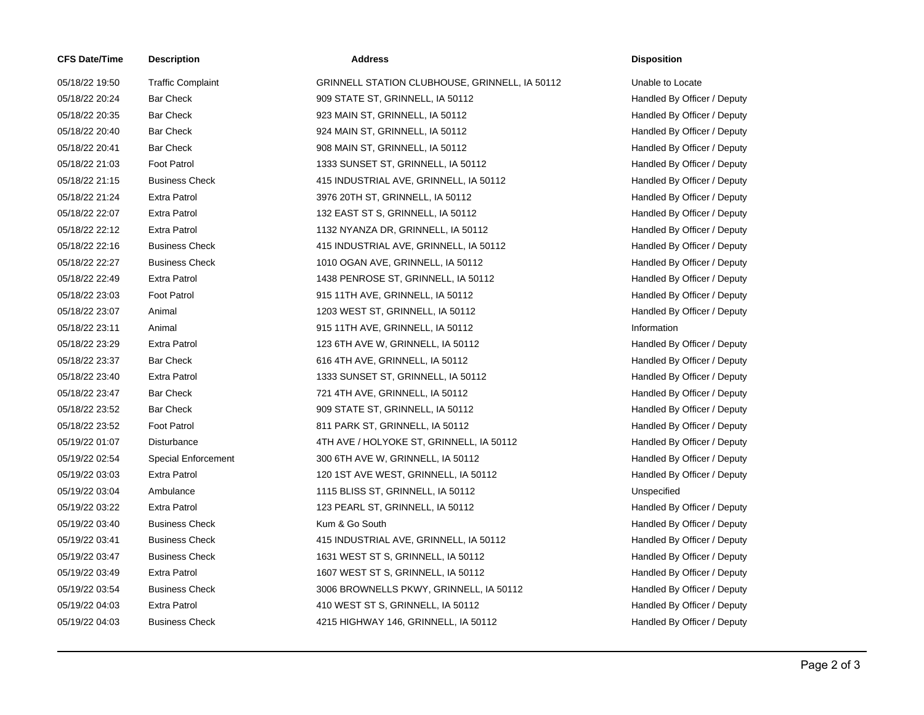| <b>CFS Date/Time</b> | <b>Description</b>         | <b>Address</b>                                 | <b>Disposition</b> |
|----------------------|----------------------------|------------------------------------------------|--------------------|
| 05/18/22 19:50       | <b>Traffic Complaint</b>   | GRINNELL STATION CLUBHOUSE, GRINNELL, IA 50112 | Unable to Lo       |
| 05/18/22 20:24       | <b>Bar Check</b>           | 909 STATE ST, GRINNELL, IA 50112               | Handled By         |
| 05/18/22 20:35       | <b>Bar Check</b>           | 923 MAIN ST, GRINNELL, IA 50112                | Handled By         |
| 05/18/22 20:40       | <b>Bar Check</b>           | 924 MAIN ST, GRINNELL, IA 50112                | Handled By         |
| 05/18/22 20:41       | <b>Bar Check</b>           | 908 MAIN ST, GRINNELL, IA 50112                | Handled By         |
| 05/18/22 21:03       | <b>Foot Patrol</b>         | 1333 SUNSET ST, GRINNELL, IA 50112             | Handled By         |
| 05/18/22 21:15       | <b>Business Check</b>      | 415 INDUSTRIAL AVE, GRINNELL, IA 50112         | Handled By         |
| 05/18/22 21:24       | <b>Extra Patrol</b>        | 3976 20TH ST, GRINNELL, IA 50112               | Handled By         |
| 05/18/22 22:07       | <b>Extra Patrol</b>        | 132 EAST ST S, GRINNELL, IA 50112              | Handled By         |
| 05/18/22 22:12       | <b>Extra Patrol</b>        | 1132 NYANZA DR, GRINNELL, IA 50112             | Handled By         |
| 05/18/22 22:16       | <b>Business Check</b>      | 415 INDUSTRIAL AVE, GRINNELL, IA 50112         | Handled By         |
| 05/18/22 22:27       | <b>Business Check</b>      | 1010 OGAN AVE, GRINNELL, IA 50112              | Handled By         |
| 05/18/22 22:49       | <b>Extra Patrol</b>        | 1438 PENROSE ST, GRINNELL, IA 50112            | Handled By         |
| 05/18/22 23:03       | <b>Foot Patrol</b>         | 915 11TH AVE, GRINNELL, IA 50112               | Handled By         |
| 05/18/22 23:07       | Animal                     | 1203 WEST ST, GRINNELL, IA 50112               | Handled By         |
| 05/18/22 23:11       | Animal                     | 915 11TH AVE, GRINNELL, IA 50112               | Information        |
| 05/18/22 23:29       | <b>Extra Patrol</b>        | 123 6TH AVE W, GRINNELL, IA 50112              | Handled By         |
| 05/18/22 23:37       | <b>Bar Check</b>           | 616 4TH AVE, GRINNELL, IA 50112                | Handled By         |
| 05/18/22 23:40       | <b>Extra Patrol</b>        | 1333 SUNSET ST, GRINNELL, IA 50112             | Handled By         |
| 05/18/22 23:47       | <b>Bar Check</b>           | 721 4TH AVE, GRINNELL, IA 50112                | Handled By         |
| 05/18/22 23:52       | <b>Bar Check</b>           | 909 STATE ST, GRINNELL, IA 50112               | Handled By         |
| 05/18/22 23:52       | <b>Foot Patrol</b>         | 811 PARK ST, GRINNELL, IA 50112                | Handled By         |
| 05/19/22 01:07       | Disturbance                | 4TH AVE / HOLYOKE ST, GRINNELL, IA 50112       | Handled By         |
| 05/19/22 02:54       | <b>Special Enforcement</b> | 300 6TH AVE W, GRINNELL, IA 50112              | Handled By         |
| 05/19/22 03:03       | <b>Extra Patrol</b>        | 120 1ST AVE WEST, GRINNELL, IA 50112           | Handled By         |
| 05/19/22 03:04       | Ambulance                  | 1115 BLISS ST, GRINNELL, IA 50112              | Unspecified        |
| 05/19/22 03:22       | <b>Extra Patrol</b>        | 123 PEARL ST, GRINNELL, IA 50112               | Handled By         |
| 05/19/22 03:40       | <b>Business Check</b>      | Kum & Go South                                 | Handled By         |
| 05/19/22 03:41       | <b>Business Check</b>      | 415 INDUSTRIAL AVE, GRINNELL, IA 50112         | Handled By         |
| 05/19/22 03:47       | <b>Business Check</b>      | 1631 WEST ST S, GRINNELL, IA 50112             | Handled By         |
| 05/19/22 03:49       | <b>Extra Patrol</b>        | 1607 WEST ST S, GRINNELL, IA 50112             | Handled By         |
| 05/19/22 03:54       | <b>Business Check</b>      | 3006 BROWNELLS PKWY, GRINNELL, IA 50112        | Handled By         |
| 05/19/22 04:03       | <b>Extra Patrol</b>        | 410 WEST ST S, GRINNELL, IA 50112              | Handled By         |
| 05/19/22 04:03       | <b>Business Check</b>      | 4215 HIGHWAY 146, GRINNELL, IA 50112           | Handled By         |
|                      |                            |                                                |                    |

GRINNELL STATION CLUBHOUSE, GRINNELL, IA 50112 Unable to Locate 009 STATE ST, GRINNELL, IA 50112 Handled By Officer / Deputy 023 MAIN ST, GRINNELL, IA 50112 **Handled By Officer / Deputy** Handled By Officer / Deputy 024 MAIN ST, GRINNELL, IA 50112 **Handled By Officer / Deputy** Handled By Officer / Deputy 008 MAIN ST, GRINNELL, IA 50112 **Handled By Officer / Deputy** Handled By Officer / Deputy 1333 SUNSET ST, GRINNELL, IA 50112 **Handled By Officer / Deputy** Handled By Officer / Deputy 415 INDUSTRIAL AVE, GRINNELL, IA 50112 Handled By Officer / Deputy 05/3976 20TH ST, GRINNELL, IA 50112 **Extra Patrol 3976 20TH ST, GRINNELL**, IA 50112 132 EAST ST S, GRINNELL, IA 50112 **EXECUTE:** Handled By Officer / Deputy 1132 NYANZA DR, GRINNELL, IA 50112 Handled By Officer / Deputy 415 INDUSTRIAL AVE, GRINNELL, IA 50112 Handled By Officer / Deputy 1010 OGAN AVE, GRINNELL, IA 50112 Handled By Officer / Deputy 1438 PENROSE ST, GRINNELL, IA 50112 Handled By Officer / Deputy 015 11TH AVE, GRINNELL, IA 50112 **For Patrol 23:03 Foot Patrol Patrol Patrol** Handled By Officer / Deputy 1203 WEST ST, GRINNELL, IA 50112 **Handled By Officer / Deputy** Handled By Officer / Deputy 015 11TH AVE, GRINNELL, IA 50112 Information 123 6TH AVE W, GRINNELL, IA 50112 Handled By Officer / Deputy 616 4TH AVE, GRINNELL, IA 50112 **Handled By Officer / Deputy** Handled By Officer / Deputy 1333 SUNSET ST, GRINNELL, IA 50112 Handled By Officer / Deputy 721 4TH AVE, GRINNELL, IA 50112 **Handled By Officer / Deputy** Handled By Officer / Deputy 009 STATE ST, GRINNELL, IA 50112 **Example 309 STATE ST, GRINNELL**, IA 50112 811 PARK ST, GRINNELL, IA 50112 **Handled By Officer / Deputy** Handled By Officer / Deputy 4TH AVE / HOLYOKE ST, GRINNELL, IA 50112 Handled By Officer / Deputy 0506 6TH AVE W, GRINNELL, IA 50112 **Enforcement 300 6TH AVE W, GRINNELL**, IA 50112 120 1ST AVE WEST, GRINNELL, IA 50112 Handled By Officer / Deputy 05/19/22 03:04 Ambulance 1115 BLISS ST, GRINNELL, IA 50112 Unspecified 123 PEARL ST, GRINNELL, IA 50112 **Extra Patrol 123** PEARL ST, GRINNELL, IA 50112 **05/19/22 19/22 19/22 03:40 Business Check Kum & Go South Handled By Officer / Deputy** Handled By Officer / Deputy 415 INDUSTRIAL AVE, GRINNELL, IA 50112 Handled By Officer / Deputy 1631 WEST ST S, GRINNELL, IA 50112 Handled By Officer / Deputy 1607 WEST ST S, GRINNELL, IA 50112 **Extra Patrol 20:49 Extra Patrol 1607 WEST ST S**, GRINNELL, IA 50112 05/19/22 03:54 Business Check 3006 BROWNELLS PKWY, GRINNELL, IA 50112 Handled By Officer / Deputy 410 WEST ST S, GRINNELL, IA 50112 **Extra Patrol 410 WEST ST S, GRINNELL**, IA 50112 4215 HIGHWAY 146, GRINNELL, IA 50112 Handled By Officer / Deputy